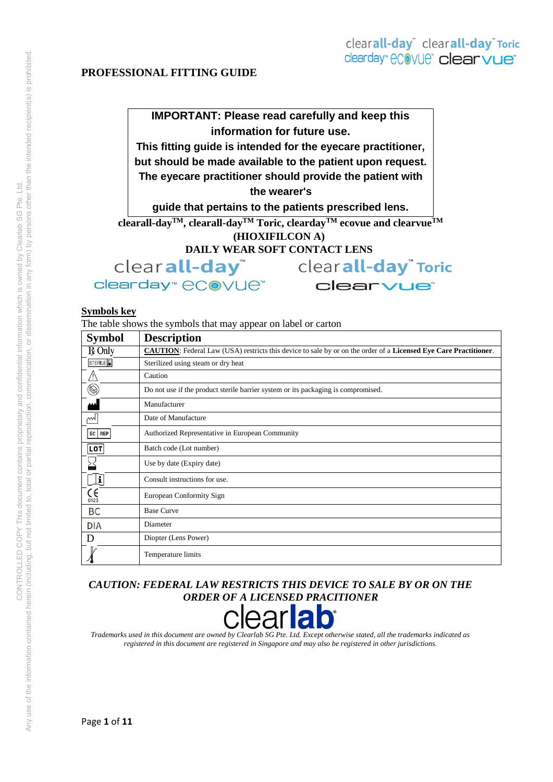# **IMPORTANT: Please read carefully and keep this information for future use.**

**This fitting guide is intended for the eyecare practitioner,** 

**but should be made available to the patient upon request.** 

**The eyecare practitioner should provide the patient with** 

**the wearer's** 

**guide that pertains to the patients prescribed lens.** 

**clearall-dayTM, clearall-dayTM Toric, cleardayTM ecovue and clearvueTM**

**(HIOXIFILCON A)** 

**DAILY WEAR SOFT CONTACT LENS** 

clear**all-day**" clearday<sup>™</sup> eCovue™

clearvue<sup>®</sup>

clearall-day<sup>"</sup> Toric

#### **Symbols key**

The table shows the symbols that may appear on label or carton

| <b>Symbol</b>                | <b>Description</b>                                                                                                      |
|------------------------------|-------------------------------------------------------------------------------------------------------------------------|
| $R$ Only                     | <b>CAUTION:</b> Federal Law (USA) restricts this device to sale by or on the order of a Licensed Eye Care Practitioner. |
| STERILE <sup>1</sup>         | Sterilized using steam or dry heat                                                                                      |
| /إ/                          | Caution                                                                                                                 |
| $\circledR$                  | Do not use if the product sterile barrier system or its packaging is compromised.                                       |
|                              | Manufacturer                                                                                                            |
| m                            | Date of Manufacture                                                                                                     |
| $EC$ REP                     | Authorized Representative in European Community                                                                         |
| LOT                          | Batch code (Lot number)                                                                                                 |
|                              | Use by date (Expiry date)                                                                                               |
| ١í                           | Consult instructions for use.                                                                                           |
| $\mathsf{C}_{\mathsf{0123}}$ | European Conformity Sign                                                                                                |
| BC                           | <b>Base Curve</b>                                                                                                       |
| <b>DIA</b>                   | Diameter                                                                                                                |
| Ð                            | Diopter (Lens Power)                                                                                                    |
|                              | Temperature limits                                                                                                      |

# *CAUTION: FEDERAL LAW RESTRICTS THIS DEVICE TO SALE BY OR ON THE ORDER OF A LICENSED PRACITIONER*



*Trademarks used in this document are owned by Clearlab SG Pte. Ltd. Except otherwise stated, all the trademarks indicated as registered in this document are registered in Singapore and may also be registered in other jurisdictions.*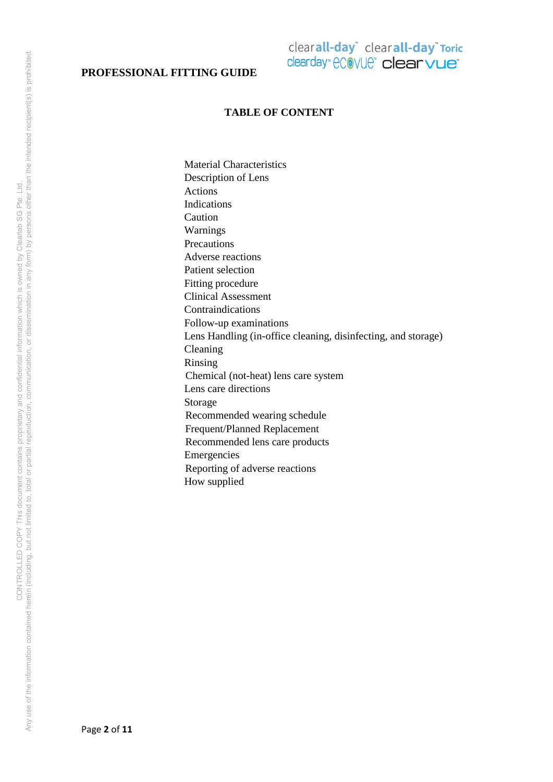# clearall-day<sup>\*</sup> clearall-day<sup>\*</sup> Toric clearday" ecovue" clearvue"

### **TABLE OF CONTENT**

Material Characteristics Description of Lens Actions Indications Caution Warnings **Precautions** Adverse reactions Patient selection Fitting procedure Clinical Assessment Contraindications Follow-up examinations Lens Handling (in-office cleaning, disinfecting, and storage) Cleaning Rinsing Chemical (not-heat) lens care system Lens care directions Storage Recommended wearing schedule Frequent/Planned Replacement Recommended lens care products Emergencies Reporting of adverse reactions How supplied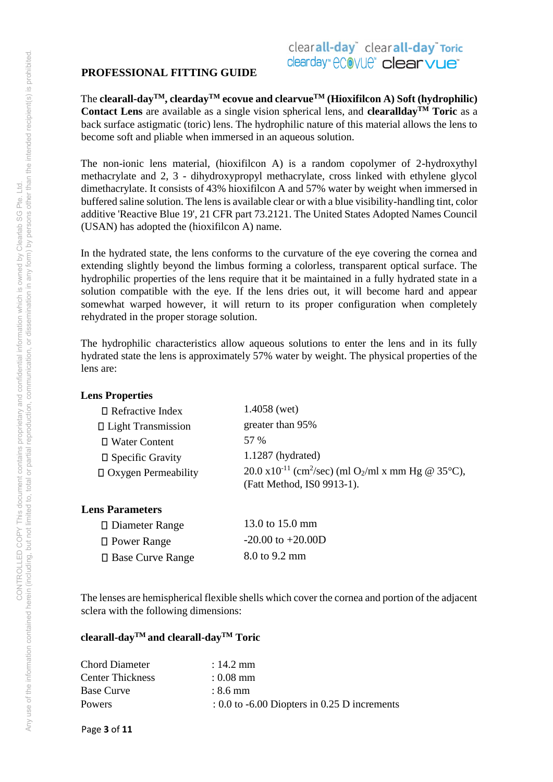# clearall-day<sup>\*</sup> clearall-day<sup>\*</sup> Toric clearday" ecovue" clearvue<sup>®</sup>

The **clearall-dayTM, cleardayTM ecovue and clearvueTM (Hioxifilcon A) Soft (hydrophilic) Contact Lens** are available as a single vision spherical lens, and **clearalldayTM Toric** as a back surface astigmatic (toric) lens. The hydrophilic nature of this material allows the lens to become soft and pliable when immersed in an aqueous solution.

The non-ionic lens material, (hioxifilcon A) is a random copolymer of 2-hydroxythyl methacrylate and 2, 3 - dihydroxypropyl methacrylate, cross linked with ethylene glycol dimethacrylate. It consists of 43% hioxifilcon A and 57% water by weight when immersed in buffered saline solution. The lens is available clear or with a blue visibility-handling tint, color additive 'Reactive Blue 19', 21 CFR part 73.2121. The United States Adopted Names Council (USAN) has adopted the (hioxifilcon A) name.

In the hydrated state, the lens conforms to the curvature of the eye covering the cornea and extending slightly beyond the limbus forming a colorless, transparent optical surface. The hydrophilic properties of the lens require that it be maintained in a fully hydrated state in a solution compatible with the eye. If the lens dries out, it will become hard and appear somewhat warped however, it will return to its proper configuration when completely rehydrated in the proper storage solution.

The hydrophilic characteristics allow aqueous solutions to enter the lens and in its fully hydrated state the lens is approximately 57% water by weight. The physical properties of the lens are:

## **Lens Properties**

| $\Box$ Refractive Index    | $1.4058$ (wet)                                                                                                                   |
|----------------------------|----------------------------------------------------------------------------------------------------------------------------------|
| □ Light Transmission       | greater than 95%                                                                                                                 |
| □ Water Content            | 57 %                                                                                                                             |
| $\square$ Specific Gravity | $1.1287$ (hydrated)                                                                                                              |
| $\Box$ Oxygen Permeability | $20.0 \times 10^{-11}$ (cm <sup>2</sup> /sec) (ml O <sub>2</sub> /ml x mm Hg @ 35 <sup>o</sup> C),<br>(Fatt Method, ISO 9913-1). |

# **Lens Parameters**

| □ Diameter Range        | 13.0 to 15.0 mm       |
|-------------------------|-----------------------|
| $\Box$ Power Range      | $-20.00$ to $+20.00D$ |
| $\Box$ Base Curve Range | 8.0 to 9.2 mm         |

The lenses are hemispherical flexible shells which cover the cornea and portion of the adjacent sclera with the following dimensions:

# **clearall-dayTM and clearall-dayTM Toric**

| : 14.2 mm                                               |
|---------------------------------------------------------|
| $: 0.08$ mm                                             |
| $: 8.6$ mm                                              |
| $\therefore$ 0.0 to -6.00 Diopters in 0.25 D increments |
|                                                         |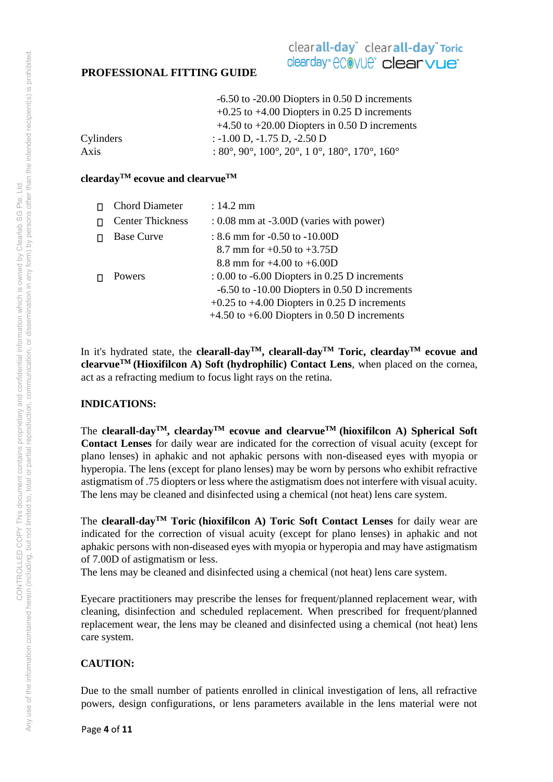# clearall-day<sup>\*</sup> clearall-day<sup>\*</sup> Toric clearday" ecovue" clearvue<sup>®</sup>

|           | $-6.50$ to $-20.00$ Diopters in 0.50 D increments                                                           |
|-----------|-------------------------------------------------------------------------------------------------------------|
|           | $+0.25$ to $+4.00$ Diopters in 0.25 D increments                                                            |
|           | $+4.50$ to $+20.00$ Diopters in 0.50 D increments                                                           |
| Cylinders | $: -1.00$ D, $-1.75$ D, $-2.50$ D                                                                           |
| Axis      | : $80^\circ$ , $90^\circ$ , $100^\circ$ , $20^\circ$ , $10^\circ$ , $180^\circ$ , $170^\circ$ , $160^\circ$ |

## **cleardayTM ecovue and clearvueTM**

| <b>Chord Diameter</b>   | $: 14.2 \text{ mm}$                               |
|-------------------------|---------------------------------------------------|
| <b>Center Thickness</b> | $: 0.08$ mm at $-3.00D$ (varies with power)       |
| <b>Base Curve</b>       | : $8.6$ mm for $-0.50$ to $-10.00D$               |
|                         | 8.7 mm for $+0.50$ to $+3.75D$                    |
|                         | 8.8 mm for $+4.00$ to $+6.00D$                    |
| Powers                  | $\pm 0.00$ to -6.00 Diopters in 0.25 D increments |
|                         | $-6.50$ to $-10.00$ Diopters in 0.50 D increments |
|                         | $+0.25$ to $+4.00$ Diopters in 0.25 D increments  |
|                         | $+4.50$ to $+6.00$ Diopters in 0.50 D increments  |

In it's hydrated state, the **clearall-day<sup>TM</sup>**, **clearall-day<sup>TM</sup> Toric, clearday<sup>TM</sup> ecovue and clearvue**<sup>TM</sup> (Hioxifilcon A) Soft (hydrophilic) Contact Lens, when placed on the cornea, act as a refracting medium to focus light rays on the retina.

## **INDICATIONS:**

The **clearall-dayTM, cleardayTM ecovue and clearvueTM (hioxifilcon A) Spherical Soft Contact Lenses** for daily wear are indicated for the correction of visual acuity (except for plano lenses) in aphakic and not aphakic persons with non-diseased eyes with myopia or hyperopia. The lens (except for plano lenses) may be worn by persons who exhibit refractive astigmatism of .75 diopters or less where the astigmatism does not interfere with visual acuity. The lens may be cleaned and disinfected using a chemical (not heat) lens care system.

The **clearall-dayTM Toric (hioxifilcon A) Toric Soft Contact Lenses** for daily wear are indicated for the correction of visual acuity (except for plano lenses) in aphakic and not aphakic persons with non-diseased eyes with myopia or hyperopia and may have astigmatism of 7.00D of astigmatism or less.

The lens may be cleaned and disinfected using a chemical (not heat) lens care system.

Eyecare practitioners may prescribe the lenses for frequent/planned replacement wear, with cleaning, disinfection and scheduled replacement. When prescribed for frequent/planned replacement wear, the lens may be cleaned and disinfected using a chemical (not heat) lens care system.

# **CAUTION:**

Due to the small number of patients enrolled in clinical investigation of lens, all refractive powers, design configurations, or lens parameters available in the lens material were not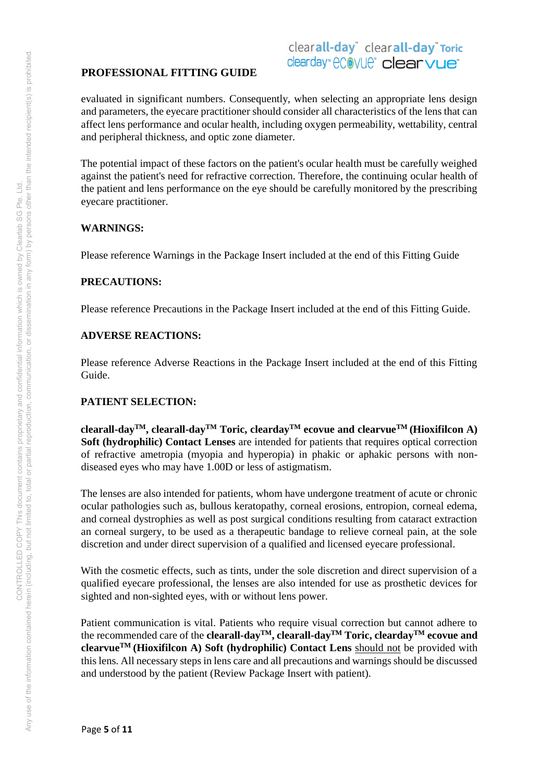# clearall-day<sup>\*</sup> clearall-day<sup>\*</sup> Toric clearday" ecovue" clearvue<sup>®</sup>

evaluated in significant numbers. Consequently, when selecting an appropriate lens design and parameters, the eyecare practitioner should consider all characteristics of the lens that can affect lens performance and ocular health, including oxygen permeability, wettability, central and peripheral thickness, and optic zone diameter.

The potential impact of these factors on the patient's ocular health must be carefully weighed against the patient's need for refractive correction. Therefore, the continuing ocular health of the patient and lens performance on the eye should be carefully monitored by the prescribing eyecare practitioner.

## **WARNINGS:**

Please reference Warnings in the Package Insert included at the end of this Fitting Guide

## **PRECAUTIONS:**

Please reference Precautions in the Package Insert included at the end of this Fitting Guide.

## **ADVERSE REACTIONS:**

Please reference Adverse Reactions in the Package Insert included at the end of this Fitting Guide.

## **PATIENT SELECTION:**

**clearall-dayTM, clearall-dayTM Toric, cleardayTM ecovue and clearvueTM (Hioxifilcon A) Soft (hydrophilic) Contact Lenses** are intended for patients that requires optical correction of refractive ametropia (myopia and hyperopia) in phakic or aphakic persons with nondiseased eyes who may have 1.00D or less of astigmatism.

The lenses are also intended for patients, whom have undergone treatment of acute or chronic ocular pathologies such as, bullous keratopathy, corneal erosions, entropion, corneal edema, and corneal dystrophies as well as post surgical conditions resulting from cataract extraction an corneal surgery, to be used as a therapeutic bandage to relieve corneal pain, at the sole discretion and under direct supervision of a qualified and licensed eyecare professional.

With the cosmetic effects, such as tints, under the sole discretion and direct supervision of a qualified eyecare professional, the lenses are also intended for use as prosthetic devices for sighted and non-sighted eyes, with or without lens power.

Patient communication is vital. Patients who require visual correction but cannot adhere to the recommended care of the **clearall-dayTM, clearall-dayTM Toric, cleardayTM ecovue and clearvueTM (Hioxifilcon A) Soft (hydrophilic) Contact Lens** should not be provided with this lens. All necessary steps in lens care and all precautions and warnings should be discussed and understood by the patient (Review Package Insert with patient).

Page **5** of **11**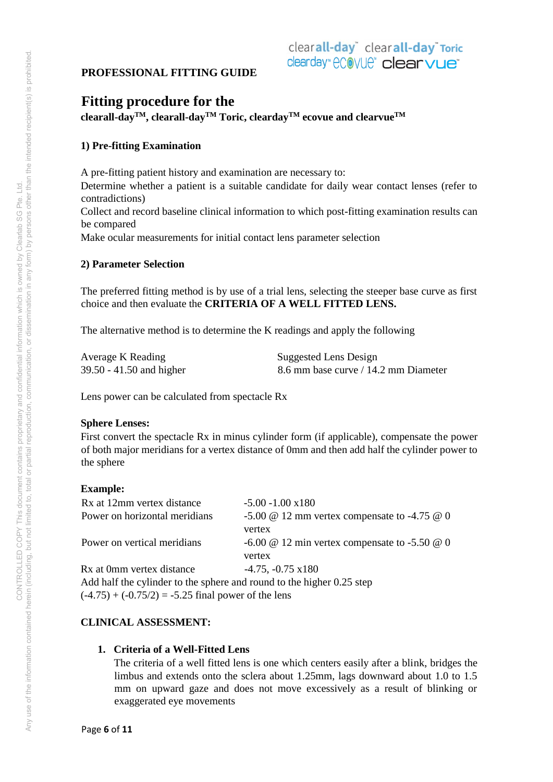# **Fitting procedure for the**

**clearall-dayTM, clearall-dayTM Toric, cleardayTM ecovue and clearvueTM** 

# **1) Pre-fitting Examination**

A pre-fitting patient history and examination are necessary to: Determine whether a patient is a suitable candidate for daily wear contact lenses (refer to contradictions) Collect and record baseline clinical information to which post-fitting examination results can be compared Make ocular measurements for initial contact lens parameter selection

## **2) Parameter Selection**

The preferred fitting method is by use of a trial lens, selecting the steeper base curve as first choice and then evaluate the **CRITERIA OF A WELL FITTED LENS.** 

The alternative method is to determine the K readings and apply the following

| Average K Reading        | Suggested Lens Design                |
|--------------------------|--------------------------------------|
| 39.50 - 41.50 and higher | 8.6 mm base curve / 14.2 mm Diameter |

Lens power can be calculated from spectacle Rx

## **Sphere Lenses:**

First convert the spectacle Rx in minus cylinder form (if applicable), compensate the power of both major meridians for a vertex distance of 0mm and then add half the cylinder power to the sphere

## **Example:**

| Rx at 12mm vertex distance                                            | $-5.00 - 1.00 \times 180$                                   |  |  |
|-----------------------------------------------------------------------|-------------------------------------------------------------|--|--|
| Power on horizontal meridians                                         | -5.00 $\omega$ 12 mm vertex compensate to -4.75 $\omega$ 0  |  |  |
|                                                                       | vertex                                                      |  |  |
| Power on vertical meridians                                           | -6.00 $\omega$ 12 min vertex compensate to -5.50 $\omega$ 0 |  |  |
|                                                                       | vertex                                                      |  |  |
| Rx at 0mm vertex distance                                             | $-4.75, -0.75 \times 180$                                   |  |  |
| Add half the cylinder to the sphere and round to the higher 0.25 step |                                                             |  |  |
| $(-4.75) + (-0.75/2) = -5.25$ final power of the lens                 |                                                             |  |  |

## **CLINICAL ASSESSMENT:**

## **1. Criteria of a Well-Fitted Lens**

The criteria of a well fitted lens is one which centers easily after a blink, bridges the limbus and extends onto the sclera about 1.25mm, lags downward about 1.0 to 1.5 mm on upward gaze and does not move excessively as a result of blinking or exaggerated eye movements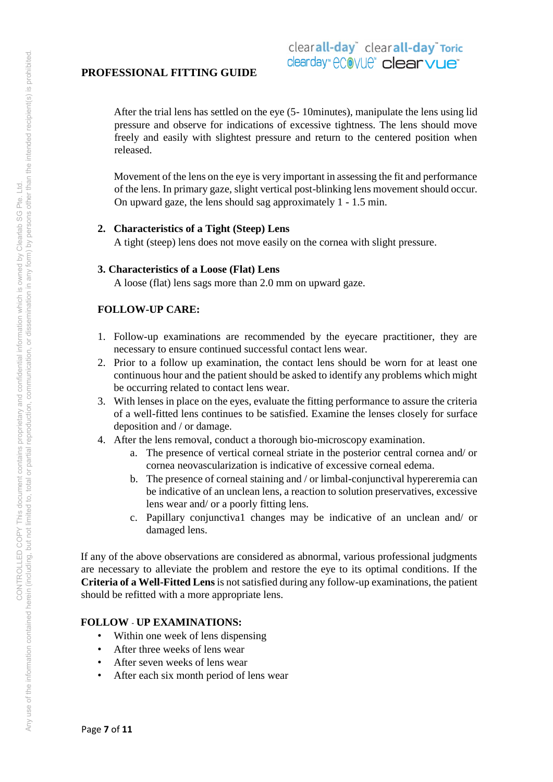After the trial lens has settled on the eye (5- 10minutes), manipulate the lens using lid pressure and observe for indications of excessive tightness. The lens should move freely and easily with slightest pressure and return to the centered position when released.

Movement of the lens on the eye is very important in assessing the fit and performance of the lens. In primary gaze, slight vertical post-blinking lens movement should occur. On upward gaze, the lens should sag approximately 1 - 1.5 min.

#### **2. Characteristics of a Tight (Steep) Lens**

A tight (steep) lens does not move easily on the cornea with slight pressure.

#### **3. Characteristics of a Loose (Flat) Lens**

A loose (flat) lens sags more than 2.0 mm on upward gaze.

## **FOLLOW-UP CARE:**

- 1. Follow-up examinations are recommended by the eyecare practitioner, they are necessary to ensure continued successful contact lens wear.
- 2. Prior to a follow up examination, the contact lens should be worn for at least one continuous hour and the patient should be asked to identify any problems which might be occurring related to contact lens wear.
- 3. With lenses in place on the eyes, evaluate the fitting performance to assure the criteria of a well-fitted lens continues to be satisfied. Examine the lenses closely for surface deposition and / or damage.
- 4. After the lens removal, conduct a thorough bio-microscopy examination.
	- a. The presence of vertical corneal striate in the posterior central cornea and/ or cornea neovascularization is indicative of excessive corneal edema.
	- b. The presence of corneal staining and / or limbal-conjunctival hypereremia can be indicative of an unclean lens, a reaction to solution preservatives, excessive lens wear and/ or a poorly fitting lens.
	- c. Papillary conjunctiva1 changes may be indicative of an unclean and/ or damaged lens.

If any of the above observations are considered as abnormal, various professional judgments are necessary to alleviate the problem and restore the eye to its optimal conditions. If the **Criteria of a Well-Fitted Lens** is not satisfied during any follow-up examinations, the patient should be refitted with a more appropriate lens.

## **FOLLOW** - **UP EXAMINATIONS:**

- Within one week of lens dispensing
- After three weeks of lens wear
- After seven weeks of lens wear
- After each six month period of lens wear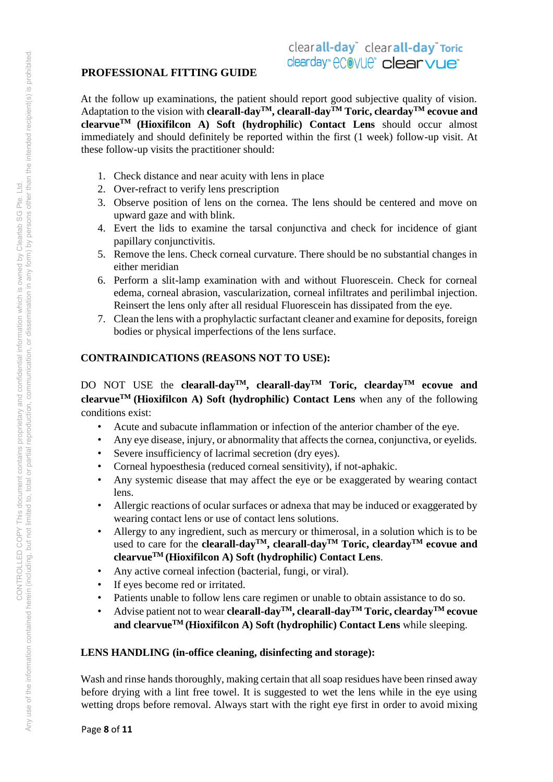# clearall-day<sup>\*</sup> clearall-day<sup>\*</sup> Toric clearday" ecovue" clearvue<sup>®</sup>

# **PROFESSIONAL FITTING GUIDE**

At the follow up examinations, the patient should report good subjective quality of vision. Adaptation to the vision with **clearall-dayTM, clearall-dayTM Toric, cleardayTM ecovue and clearvueTM (Hioxifilcon A) Soft (hydrophilic) Contact Lens** should occur almost immediately and should definitely be reported within the first (1 week) follow-up visit. At these follow-up visits the practitioner should:

- 1. Check distance and near acuity with lens in place
- 2. Over-refract to verify lens prescription
- 3. Observe position of lens on the cornea. The lens should be centered and move on upward gaze and with blink.
- 4. Evert the lids to examine the tarsal conjunctiva and check for incidence of giant papillary conjunctivitis.
- 5. Remove the lens. Check corneal curvature. There should be no substantial changes in either meridian
- 6. Perform a slit-lamp examination with and without Fluorescein. Check for corneal edema, corneal abrasion, vascularization, corneal infiltrates and perilimbal injection. Reinsert the lens only after all residual Fluorescein has dissipated from the eye.
- 7. Clean the lens with a prophylactic surfactant cleaner and examine for deposits, foreign bodies or physical imperfections of the lens surface.

## **CONTRAINDICATIONS (REASONS NOT TO USE):**

DO NOT USE the **clearall-dayTM, clearall-dayTM Toric, cleardayTM ecovue and clearvue**<sup>TM</sup> (**Hioxifilcon A**) Soft (hydrophilic) Contact Lens when any of the following conditions exist:

- Acute and subacute inflammation or infection of the anterior chamber of the eye.
- Any eye disease, injury, or abnormality that affects the cornea, conjunctiva, or eyelids.
- Severe insufficiency of lacrimal secretion (dry eyes).
- Corneal hypoesthesia (reduced corneal sensitivity), if not-aphakic.
- Any systemic disease that may affect the eye or be exaggerated by wearing contact lens.
- Allergic reactions of ocular surfaces or adnexa that may be induced or exaggerated by wearing contact lens or use of contact lens solutions.
- Allergy to any ingredient, such as mercury or thimerosal, in a solution which is to be used to care for the **clearall-dayTM, clearall-dayTM Toric, cleardayTM ecovue and clearvueTM (Hioxifilcon A) Soft (hydrophilic) Contact Lens**.
- Any active corneal infection (bacterial, fungi, or viral).
- If eyes become red or irritated.
- Patients unable to follow lens care regimen or unable to obtain assistance to do so.
- Advise patient not to wear **clearall-dayTM, clearall-dayTM Toric, cleardayTM ecovue and clearvueTM (Hioxifilcon A) Soft (hydrophilic) Contact Lens** while sleeping.

#### **LENS HANDLING (in-office cleaning, disinfecting and storage):**

Wash and rinse hands thoroughly, making certain that all soap residues have been rinsed away before drying with a lint free towel. It is suggested to wet the lens while in the eye using wetting drops before removal. Always start with the right eye first in order to avoid mixing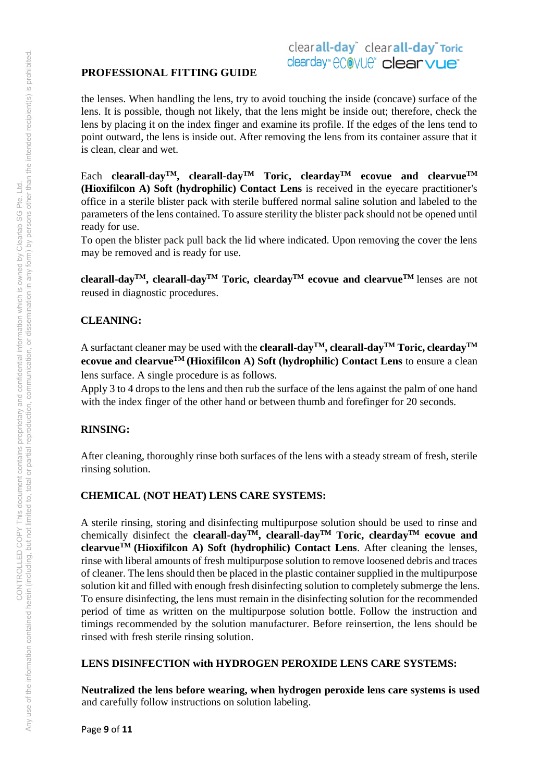# clearall-day<sup>\*</sup> clearall-day<sup>\*</sup> Toric clearday" ecovue" clearvue<sup>®</sup>

the lenses. When handling the lens, try to avoid touching the inside (concave) surface of the lens. It is possible, though not likely, that the lens might be inside out; therefore, check the lens by placing it on the index finger and examine its profile. If the edges of the lens tend to point outward, the lens is inside out. After removing the lens from its container assure that it is clean, clear and wet.

Each **clearall-dayTM, clearall-dayTM Toric, cleardayTM ecovue and clearvueTM (Hioxifilcon A) Soft (hydrophilic) Contact Lens** is received in the eyecare practitioner's office in a sterile blister pack with sterile buffered normal saline solution and labeled to the parameters of the lens contained. To assure sterility the blister pack should not be opened until ready for use.

To open the blister pack pull back the lid where indicated. Upon removing the cover the lens may be removed and is ready for use.

**clearall-dayTM, clearall-dayTM Toric, cleardayTM ecovue and clearvueTM** lenses are not reused in diagnostic procedures.

# **CLEANING:**

A surfactant cleaner may be used with the **clearall-dayTM, clearall-dayTM Toric, cleardayTM ecovue and clearvueTM (Hioxifilcon A) Soft (hydrophilic) Contact Lens** to ensure a clean lens surface. A single procedure is as follows.

Apply 3 to 4 drops to the lens and then rub the surface of the lens against the palm of one hand with the index finger of the other hand or between thumb and forefinger for 20 seconds.

# **RINSING:**

After cleaning, thoroughly rinse both surfaces of the lens with a steady stream of fresh, sterile rinsing solution.

# **CHEMICAL (NOT HEAT) LENS CARE SYSTEMS:**

A sterile rinsing, storing and disinfecting multipurpose solution should be used to rinse and chemically disinfect the **clearall-dayTM, clearall-dayTM Toric, cleardayTM ecovue and clearvue**<sup>TM</sup> (Hioxifilcon A) Soft (hydrophilic) Contact Lens. After cleaning the lenses, rinse with liberal amounts of fresh multipurpose solution to remove loosened debris and traces of cleaner. The lens should then be placed in the plastic container supplied in the multipurpose solution kit and filled with enough fresh disinfecting solution to completely submerge the lens. To ensure disinfecting, the lens must remain in the disinfecting solution for the recommended period of time as written on the multipurpose solution bottle. Follow the instruction and timings recommended by the solution manufacturer. Before reinsertion, the lens should be rinsed with fresh sterile rinsing solution.

## **LENS DISINFECTION with HYDROGEN PEROXIDE LENS CARE SYSTEMS:**

**Neutralized the lens before wearing, when hydrogen peroxide lens care systems is used** and carefully follow instructions on solution labeling.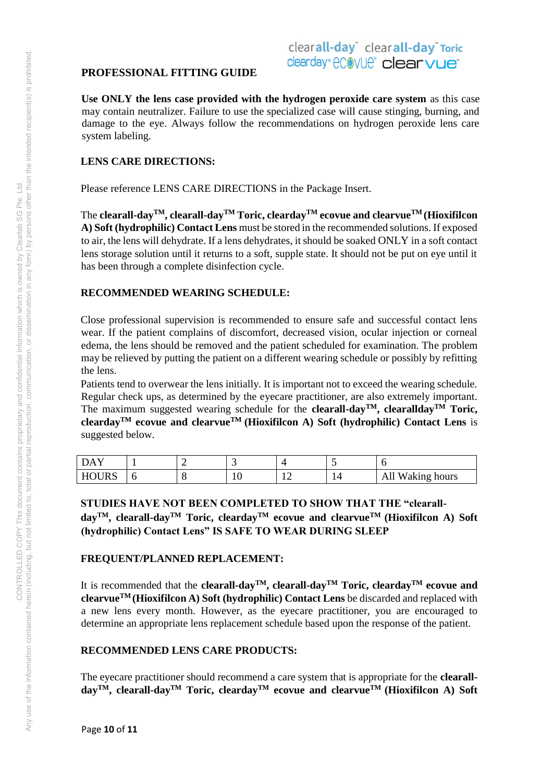# clearall-day<sup>\*</sup> clearall-day<sup>\*</sup> Toric clearday" ecovue" clearvue<sup>®</sup>

**Use ONLY the lens case provided with the hydrogen peroxide care system** as this case may contain neutralizer. Failure to use the specialized case will cause stinging, burning, and damage to the eye. Always follow the recommendations on hydrogen peroxide lens care system labeling.

## **LENS CARE DIRECTIONS:**

Please reference LENS CARE DIRECTIONS in the Package Insert.

The **clearall-dayTM, clearall-dayTM Toric, cleardayTM ecovue and clearvueTM (Hioxifilcon A) Soft (hydrophilic) Contact Lens** must be stored in the recommended solutions. If exposed to air, the lens will dehydrate. If a lens dehydrates, it should be soaked ONLY in a soft contact lens storage solution until it returns to a soft, supple state. It should not be put on eye until it has been through a complete disinfection cycle.

## **RECOMMENDED WEARING SCHEDULE:**

Close professional supervision is recommended to ensure safe and successful contact lens wear. If the patient complains of discomfort, decreased vision, ocular injection or corneal edema, the lens should be removed and the patient scheduled for examination. The problem may be relieved by putting the patient on a different wearing schedule or possibly by refitting the lens.

Patients tend to overwear the lens initially. It is important not to exceed the wearing schedule. Regular check ups, as determined by the eyecare practitioner, are also extremely important. The maximum suggested wearing schedule for the **clearall-dayTM, clearalldayTM Toric, cleardayTM ecovue and clearvueTM (Hioxifilcon A) Soft (hydrophilic) Contact Lens** is suggested below.

| DAY          |   | - |    |     |     |                              |
|--------------|---|---|----|-----|-----|------------------------------|
| <b>HOURS</b> | ີ | ◡ | ΙV | . . | . . | Waking hours<br>Δ<br>1 7 T T |

**STUDIES HAVE NOT BEEN COMPLETED TO SHOW THAT THE "clearalldayTM, clearall-dayTM Toric, cleardayTM ecovue and clearvueTM (Hioxifilcon A) Soft (hydrophilic) Contact Lens" IS SAFE TO WEAR DURING SLEEP** 

## **FREQUENT/PLANNED REPLACEMENT:**

It is recommended that the **clearall-day**<sup>TM</sup>, **clearall-day**<sup>TM</sup> Toric, **clearday**<sup>TM</sup> **ecovue and clearvueTM (Hioxifilcon A) Soft (hydrophilic) Contact Lens** be discarded and replaced with a new lens every month. However, as the eyecare practitioner, you are encouraged to determine an appropriate lens replacement schedule based upon the response of the patient.

## **RECOMMENDED LENS CARE PRODUCTS:**

The eyecare practitioner should recommend a care system that is appropriate for the **clearalldayTM, clearall-dayTM Toric, cleardayTM ecovue and clearvueTM (Hioxifilcon A) Soft**